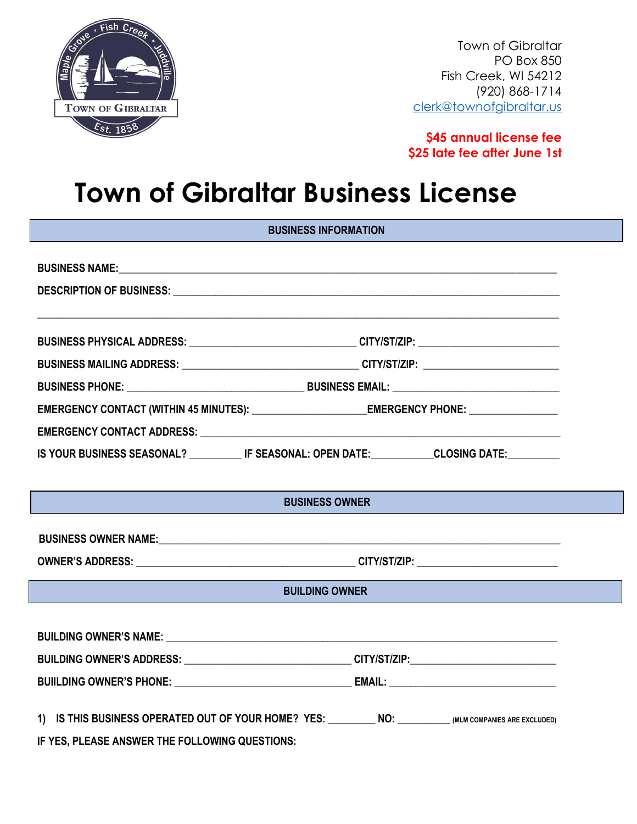

Town of Gibraltar PO Box 850 Fish Creek, WI 54212 (920) 868-1714 [clerk@townofgibraltar.us](mailto:clerk@townofgibraltar.us)

**\$45 annual license fee \$25 late fee after June 1st**

## **Town of Gibraltar Business License**

| <b>BUSINESS INFORMATION</b>                                                                         |                                                                                                     |  |  |
|-----------------------------------------------------------------------------------------------------|-----------------------------------------------------------------------------------------------------|--|--|
|                                                                                                     |                                                                                                     |  |  |
|                                                                                                     |                                                                                                     |  |  |
|                                                                                                     |                                                                                                     |  |  |
|                                                                                                     | BUSINESS PHYSICAL ADDRESS: ______________________________CITY/ST/ZIP: _____________________________ |  |  |
|                                                                                                     | BUSINESS MAILING ADDRESS: _________________________________CITY/ST/ZIP: ___________________________ |  |  |
|                                                                                                     |                                                                                                     |  |  |
| EMERGENCY CONTACT (WITHIN 45 MINUTES): _________________________EMERGENCY PHONE: __________________ |                                                                                                     |  |  |
|                                                                                                     |                                                                                                     |  |  |
| IS YOUR BUSINESS SEASONAL? _____________IF SEASONAL: OPEN DATE:____________CLOSING DATE:___________ |                                                                                                     |  |  |
|                                                                                                     |                                                                                                     |  |  |
|                                                                                                     | <b>BUSINESS OWNER</b>                                                                               |  |  |
|                                                                                                     |                                                                                                     |  |  |
|                                                                                                     |                                                                                                     |  |  |
| <b>BUILDING OWNER</b>                                                                               |                                                                                                     |  |  |
|                                                                                                     |                                                                                                     |  |  |
|                                                                                                     |                                                                                                     |  |  |
| BUILDING OWNER'S ADDRESS: ______________________________CITY/ST/ZIP:_____________                   |                                                                                                     |  |  |
|                                                                                                     |                                                                                                     |  |  |
| IS THIS BUSINESS OPERATED OUT OF YOUR HOME? YES: NO: NO: _________ (MLM COMPANIES ARE EXCLUDED)     |                                                                                                     |  |  |
|                                                                                                     |                                                                                                     |  |  |

**IF YES, PLEASE ANSWER THE FOLLOWING QUESTIONS:**